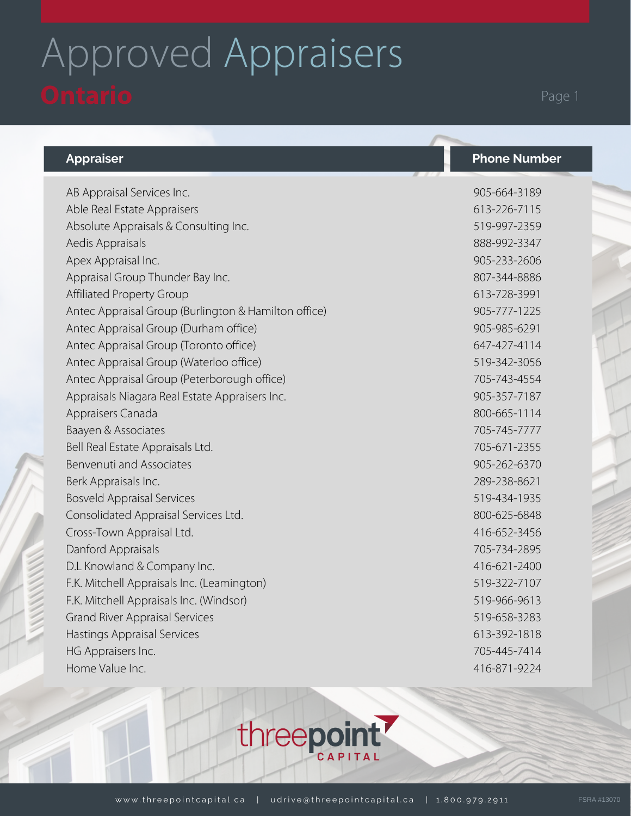## Approved Appraisers Ontario Page 1

## **Appraiser Phone Number**

AB Appraisal Services Inc. Able Real Estate Appraisers Absolute Appraisals & Consulting Inc. Aedis Appraisals Apex Appraisal Inc. Appraisal Group Thunder Bay Inc. Affiliated Property Group Antec Appraisal Group (Burlington & Hamilton office) Antec Appraisal Group (Durham office) Antec Appraisal Group (Toronto office) Antec Appraisal Group (Waterloo office) Antec Appraisal Group (Peterborough office) Appraisals Niagara Real Estate Appraisers Inc. Appraisers Canada Baayen & Associates Bell Real Estate Appraisals Ltd. Benvenuti and Associates Berk Appraisals Inc. Bosveld Appraisal Services Consolidated Appraisal Services Ltd. Cross-Town Appraisal Ltd. Danford Appraisals D.L Knowland & Company Inc. F.K. Mitchell Appraisals Inc. (Leamington) F.K. Mitchell Appraisals Inc. (Windsor) Grand River Appraisal Services Hastings Appraisal Services HG Appraisers Inc. Home Value Inc. 905-664-3189 613-226-7115 519-997-2359 888-992-3347 905-233-2606 807-344-8886 613-728-3991 905-777-1225 905-985-6291 647-427-4114 519-342-3056 705-743-4554 905-357-7187 800-665-1114 705-745-7777 705-671-2355 905-262-6370 289-238-8621 519-434-1935 800-625-6848 416-652-3456 705-734-2895 416-621-2400 519-322-7107 519-966-9613 519-658-3283 613-392-1818 705-445-7414 416-871-9224

CAPITAL

threepoin